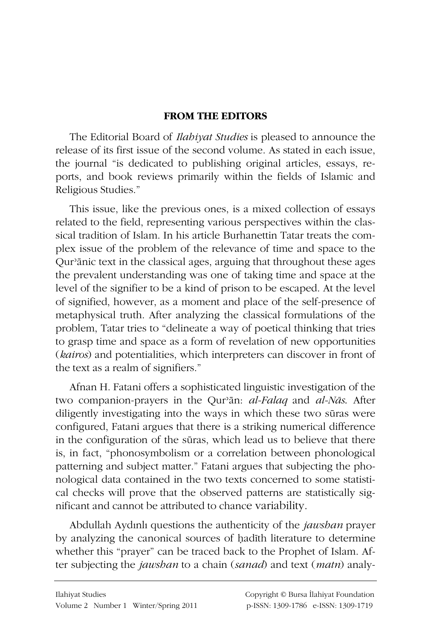## **FROM THE EDITORS**

The Editorial Board of Ilahiyat Studies is pleased to announce the release of its first issue of the second volume. As stated in each issue, the journal "is dedicated to publishing original articles, essays, reports, and book reviews primarily within the fields of Islamic and Religious Studies."

This issue, like the previous ones, is a mixed collection of essays related to the field, representing various perspectives within the classical tradition of Islam. In his article Burhanettin Tatar treats the complex issue of the problem of the relevance of time and space to the Qur'anic text in the classical ages, arguing that throughout these ages the prevalent understanding was one of taking time and space at the level of the signifier to be a kind of prison to be escaped. At the level of signified, however, as a moment and place of the self-presence of metaphysical truth. After analyzing the classical formulations of the problem. Tatar tries to "delineate a way of poetical thinking that tries to grasp time and space as a form of revelation of new opportunities (kairos) and potentialities, which interpreters can discover in front of the text as a realm of signifiers."

Afnan H. Fatani offers a sophisticated linguistic investigation of the two companion-prayers in the Qur'ān: al-Falaq and al-Nās. After diligently investigating into the ways in which these two sūras were configured, Fatani argues that there is a striking numerical difference in the configuration of the sūras, which lead us to believe that there is, in fact, "phonosymbolism or a correlation between phonological patterning and subject matter." Fatani argues that subjecting the phonological data contained in the two texts concerned to some statistical checks will prove that the observed patterns are statistically significant and cannot be attributed to chance variability.

Abdullah Aydınlı questions the authenticity of the *jawshan* prayer by analyzing the canonical sources of hadith literature to determine whether this "prayer" can be traced back to the Prophet of Islam. After subjecting the jawshan to a chain (sanad) and text (matn) analy-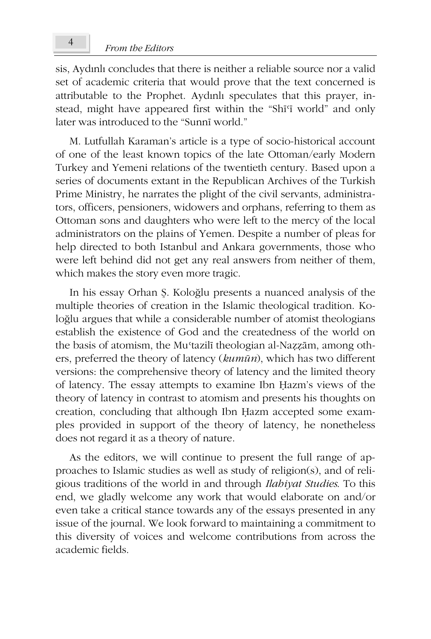sis, Aydınlı concludes that there is neither a reliable source nor a valid set of academic criteria that would prove that the text concerned is attributable to the Prophet. Aydınlı speculates that this prayer, instead, might have appeared first within the "Shi'i world" and only later was introduced to the "Sunni world."

M. Lutfullah Karaman's article is a type of socio-historical account of one of the least known topics of the late Ottoman/early Modern Turkey and Yemeni relations of the twentieth century. Based upon a series of documents extant in the Republican Archives of the Turkish Prime Ministry, he narrates the plight of the civil servants, administrators, officers, pensioners, widowers and orphans, referring to them as Ottoman sons and daughters who were left to the mercy of the local administrators on the plains of Yemen. Despite a number of pleas for help directed to both Istanbul and Ankara governments, those who were left behind did not get any real answers from neither of them, which makes the story even more tragic.

In his essay Orhan Ş. Koloğlu presents a nuanced analysis of the multiple theories of creation in the Islamic theological tradition. Koloğlu argues that while a considerable number of atomist theologians establish the existence of God and the createdness of the world on the basis of atomism, the Mu'tazilī theologian al-Nazzām, among others, preferred the theory of latency (kumūn), which has two different versions: the comprehensive theory of latency and the limited theory of latency. The essay attempts to examine Ibn Hazm's views of the theory of latency in contrast to atomism and presents his thoughts on creation, concluding that although Ibn Hazm accepted some examples provided in support of the theory of latency, he nonetheless does not regard it as a theory of nature.

As the editors, we will continue to present the full range of approaches to Islamic studies as well as study of religion(s), and of religious traditions of the world in and through *Ilabiyat Studies*. To this end, we gladly welcome any work that would elaborate on and/or even take a critical stance towards any of the essays presented in any issue of the journal. We look forward to maintaining a commitment to this diversity of voices and welcome contributions from across the academic fields.